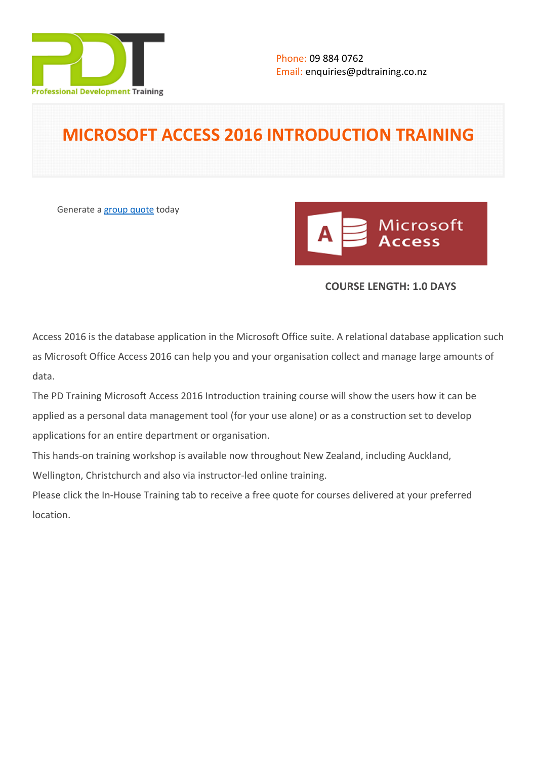

# **MICROSOFT ACCESS 2016 INTRODUCTION TRAINING**

Generate a [group quote](https://pdtraining.co.nz/inhouse-training-quote?cse=MSA16INT) today



# **COURSE LENGTH: 1.0 DAYS**

Access 2016 is the database application in the Microsoft Office suite. A relational database application such as Microsoft Office Access 2016 can help you and your organisation collect and manage large amounts of data.

The PD Training Microsoft Access 2016 Introduction training course will show the users how it can be applied as a personal data management tool (for your use alone) or as a construction set to develop applications for an entire department or organisation.

This hands-on training workshop is available now throughout New Zealand, including Auckland, Wellington, Christchurch and also via instructor-led online training.

Please click the In-House Training tab to receive a free quote for courses delivered at your preferred location.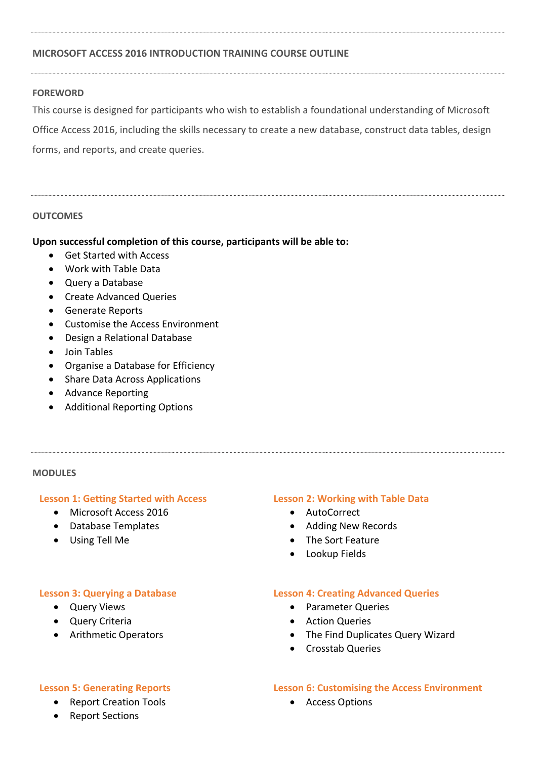## **MICROSOFT ACCESS 2016 INTRODUCTION TRAINING COURSE OUTLINE**

### **FOREWORD**

This course is designed for participants who wish to establish a foundational understanding of Microsoft Office Access 2016, including the skills necessary to create a new database, construct data tables, design forms, and reports, and create queries.

#### **OUTCOMES**

#### **Upon successful completion of this course, participants will be able to:**

- Get Started with Access
- Work with Table Data
- Query a Database
- Create Advanced Queries
- Generate Reports
- Customise the Access Environment
- Design a Relational Database
- Join Tables
- Organise a Database for Efficiency
- Share Data Across Applications
- Advance Reporting
- Additional Reporting Options

#### **MODULES**

#### **Lesson 1: Getting Started with Access**

- Microsoft Access 2016
- Database Templates
- Using Tell Me

#### **Lesson 3: Querying a Database**

- Query Views
- Query Criteria
- Arithmetic Operators

#### **Lesson 2: Working with Table Data**

- AutoCorrect
- Adding New Records
- The Sort Feature
- Lookup Fields

#### **Lesson 4: Creating Advanced Queries**

- Parameter Queries
- Action Queries
- The Find Duplicates Query Wizard
- Crosstab Queries

#### **Lesson 5: Generating Reports**

• Report Creation Tools

#### • Report Sections

#### **Lesson 6: Customising the Access Environment**

Access Options